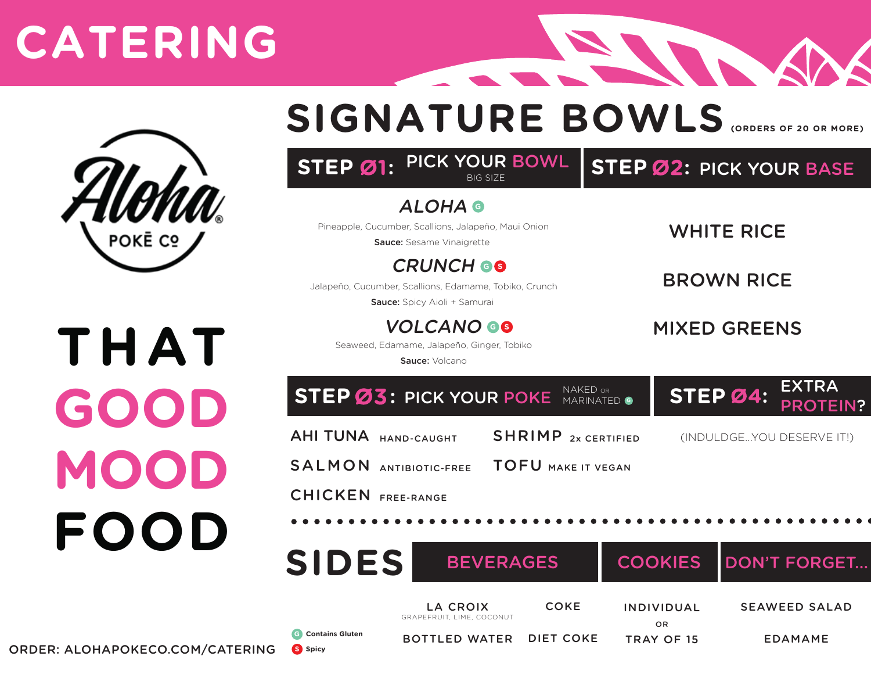### **CATERING**



**THAT**

**GOOD**

**MOOD**

**FOOD**

#### **SIGNATURE BOWLS (ORDERS OF 20 OR MORE)**

**CONTRACTOR** 

|                                                                                           | STEP Ø1: PICK YOUR BOWL<br>BIG SIZE                                                                        |                                            |                |                     |          | <b>STEP Ø2: PICK YOUR BASE</b>  |  |
|-------------------------------------------------------------------------------------------|------------------------------------------------------------------------------------------------------------|--------------------------------------------|----------------|---------------------|----------|---------------------------------|--|
|                                                                                           | <b>ALOHA @</b><br>Pineapple, Cucumber, Scallions, Jalapeño, Maui Onion<br>Sauce: Sesame Vinaigrette        |                                            |                | <b>WHITE RICE</b>   |          |                                 |  |
|                                                                                           | <b>CRUNCH GO</b><br>Jalapeño, Cucumber, Scallions, Edamame, Tobiko, Crunch<br>Sauce: Spicy Aioli + Samurai |                                            |                | <b>BROWN RICE</b>   |          |                                 |  |
|                                                                                           | <b>VOLCANO GO</b><br>Seaweed, Edamame, Jalapeño, Ginger, Tobiko<br>Sauce: Volcano                          |                                            |                | <b>MIXED GREENS</b> |          |                                 |  |
|                                                                                           | <b>STEP Ø3: PICK YOUR POKE</b>                                                                             | NAKED OR                                   | MARINATED O    |                     | STEP Ø4: | <b>EXTRA</b><br><b>PROTEIN?</b> |  |
| <b>AHI TUNA HAND-CAUGHT</b><br><b>SALMON ANTIBIOTIC-FREE</b><br><b>CHICKEN FREE-RANGE</b> |                                                                                                            | <b>SHRIMP</b><br><b>TOFU MAKE IT VEGAN</b> | 2x CERTIFIED   |                     |          | (INDULDGEYOU DESERVE IT!)       |  |
|                                                                                           | <b>SIDES</b><br><b>BEVERAGES</b>                                                                           |                                            | <b>COOKIES</b> |                     |          | <b>DON'T FORGET</b>             |  |
|                                                                                           | <b>LA CROIX</b><br>CDAD<br>$C$ $O$ $N$ $H$ $H$ $T$                                                         | <b>COKE</b>                                |                | <b>INDIVIDUAL</b>   |          | <b>SEAWEED SALAD</b>            |  |

**G Contains Gluten**

**S Spicy**

GRAPEFRUIT, LIME, COCONUT

BOTTLED WATER DIET COKE

OR TRAY OF 15

EDAMAME